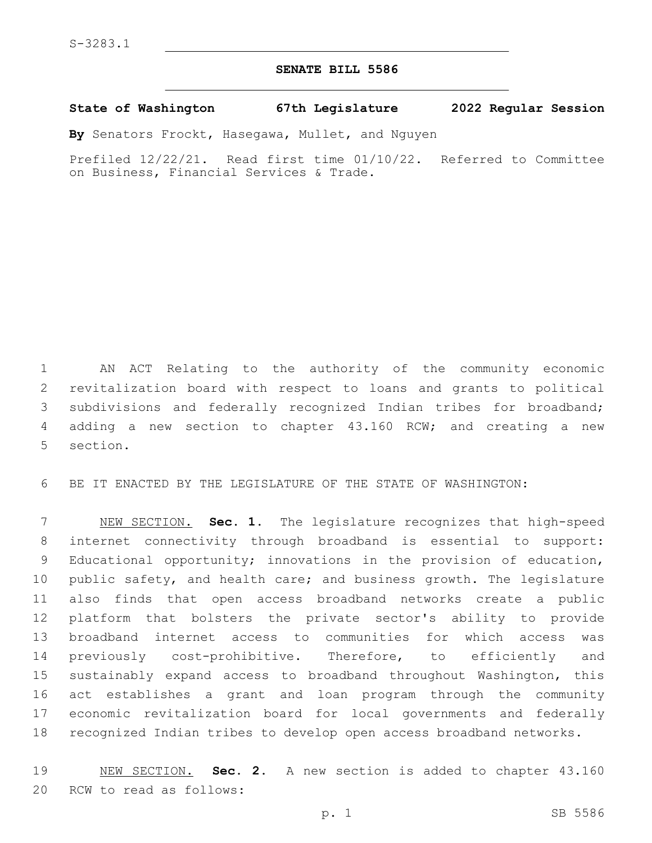## **SENATE BILL 5586**

## **State of Washington 67th Legislature 2022 Regular Session**

**By** Senators Frockt, Hasegawa, Mullet, and Nguyen

Prefiled 12/22/21. Read first time 01/10/22. Referred to Committee on Business, Financial Services & Trade.

 AN ACT Relating to the authority of the community economic revitalization board with respect to loans and grants to political subdivisions and federally recognized Indian tribes for broadband; adding a new section to chapter 43.160 RCW; and creating a new 5 section.

BE IT ENACTED BY THE LEGISLATURE OF THE STATE OF WASHINGTON:

 NEW SECTION. **Sec. 1.** The legislature recognizes that high-speed internet connectivity through broadband is essential to support: Educational opportunity; innovations in the provision of education, public safety, and health care; and business growth. The legislature also finds that open access broadband networks create a public platform that bolsters the private sector's ability to provide broadband internet access to communities for which access was previously cost-prohibitive. Therefore, to efficiently and sustainably expand access to broadband throughout Washington, this act establishes a grant and loan program through the community economic revitalization board for local governments and federally recognized Indian tribes to develop open access broadband networks.

 NEW SECTION. **Sec. 2.** A new section is added to chapter 43.160 20 RCW to read as follows: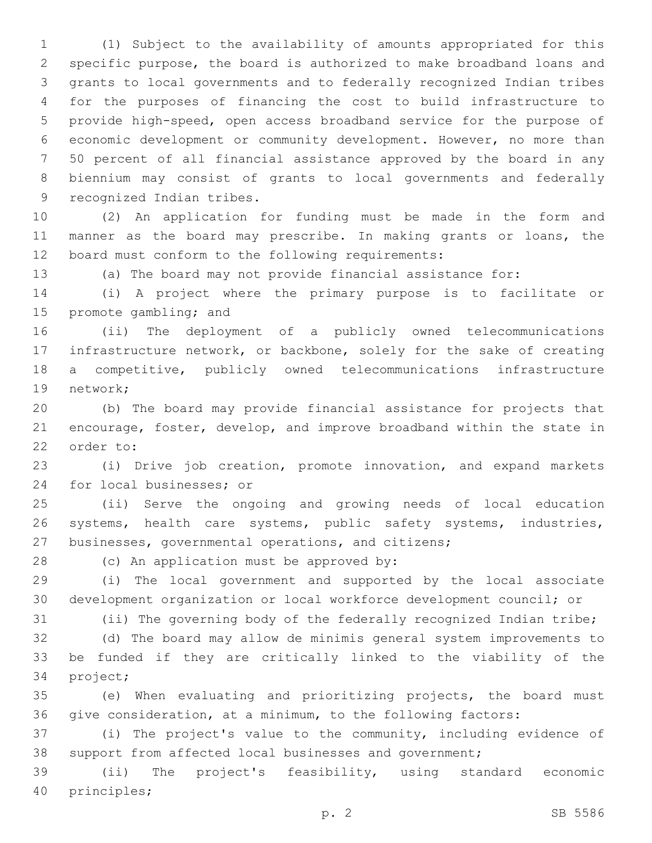(1) Subject to the availability of amounts appropriated for this specific purpose, the board is authorized to make broadband loans and grants to local governments and to federally recognized Indian tribes for the purposes of financing the cost to build infrastructure to provide high-speed, open access broadband service for the purpose of economic development or community development. However, no more than 50 percent of all financial assistance approved by the board in any biennium may consist of grants to local governments and federally 9 recognized Indian tribes.

 (2) An application for funding must be made in the form and manner as the board may prescribe. In making grants or loans, the 12 board must conform to the following requirements:

(a) The board may not provide financial assistance for:

 (i) A project where the primary purpose is to facilitate or 15 promote gambling; and

 (ii) The deployment of a publicly owned telecommunications infrastructure network, or backbone, solely for the sake of creating a competitive, publicly owned telecommunications infrastructure 19 network;

 (b) The board may provide financial assistance for projects that encourage, foster, develop, and improve broadband within the state in 22 order to:

 (i) Drive job creation, promote innovation, and expand markets 24 for local businesses; or

 (ii) Serve the ongoing and growing needs of local education 26 systems, health care systems, public safety systems, industries, businesses, governmental operations, and citizens;

28 (c) An application must be approved by:

 (i) The local government and supported by the local associate development organization or local workforce development council; or

(ii) The governing body of the federally recognized Indian tribe;

 (d) The board may allow de minimis general system improvements to be funded if they are critically linked to the viability of the 34 project;

 (e) When evaluating and prioritizing projects, the board must give consideration, at a minimum, to the following factors:

 (i) The project's value to the community, including evidence of support from affected local businesses and government;

 (ii) The project's feasibility, using standard economic 40 principles;